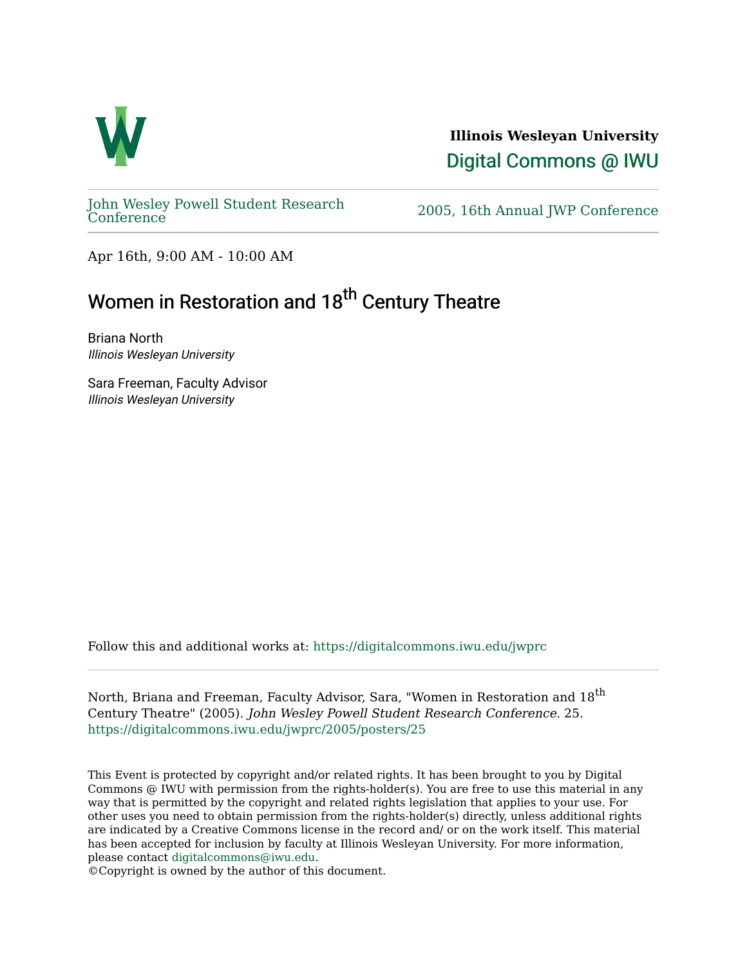

**Illinois Wesleyan University**  [Digital Commons @ IWU](https://digitalcommons.iwu.edu/) 

[John Wesley Powell Student Research](https://digitalcommons.iwu.edu/jwprc) 

2005, 16th Annual JWP [Conference](https://digitalcommons.iwu.edu/jwprc)

Apr 16th, 9:00 AM - 10:00 AM

## Women in Restoration and 18<sup>th</sup> Century Theatre

Briana North Illinois Wesleyan University

Sara Freeman, Faculty Advisor Illinois Wesleyan University

Follow this and additional works at: [https://digitalcommons.iwu.edu/jwprc](https://digitalcommons.iwu.edu/jwprc?utm_source=digitalcommons.iwu.edu%2Fjwprc%2F2005%2Fposters%2F25&utm_medium=PDF&utm_campaign=PDFCoverPages) 

North, Briana and Freeman, Faculty Advisor, Sara, "Women in Restoration and 18<sup>th</sup> Century Theatre" (2005). John Wesley Powell Student Research Conference. 25. [https://digitalcommons.iwu.edu/jwprc/2005/posters/25](https://digitalcommons.iwu.edu/jwprc/2005/posters/25?utm_source=digitalcommons.iwu.edu%2Fjwprc%2F2005%2Fposters%2F25&utm_medium=PDF&utm_campaign=PDFCoverPages)

This Event is protected by copyright and/or related rights. It has been brought to you by Digital Commons @ IWU with permission from the rights-holder(s). You are free to use this material in any way that is permitted by the copyright and related rights legislation that applies to your use. For other uses you need to obtain permission from the rights-holder(s) directly, unless additional rights are indicated by a Creative Commons license in the record and/ or on the work itself. This material has been accepted for inclusion by faculty at Illinois Wesleyan University. For more information, please contact [digitalcommons@iwu.edu.](mailto:digitalcommons@iwu.edu)

©Copyright is owned by the author of this document.